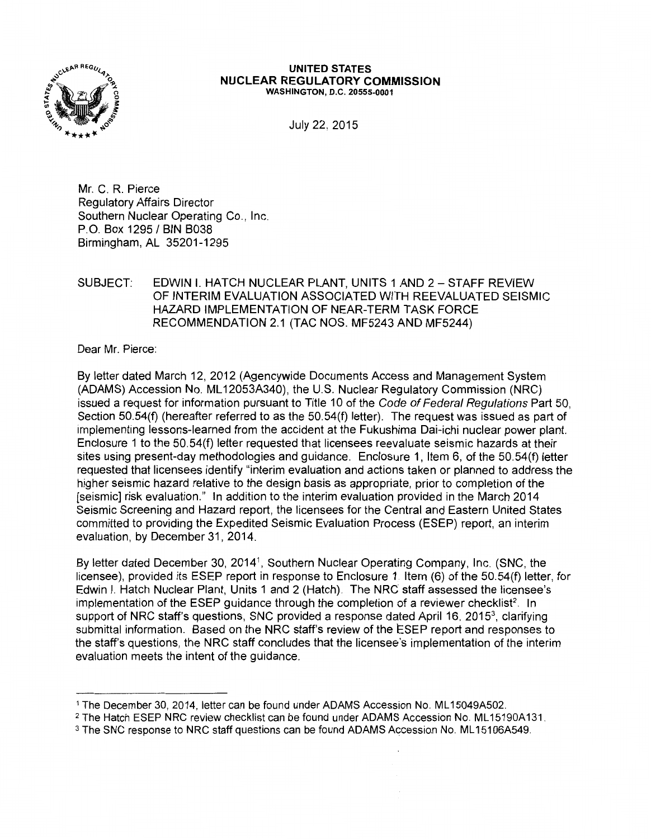

## **UNITED STATES NUCLEAR REGULATORY COMMISSION**  WASHINGTON, D.C. 20555-0001

July 22, 2015

Mr. C. R. Pierce Regulatory Affairs Director Southern Nuclear Operating Co., Inc. P.O. Box 1295 / BIN B038 Birmingham, AL 35201-1295

## SUBJECT: EDWIN I. HATCH NUCLEAR PLANT, UNITS 1 AND 2 - STAFF REVIEW OF INTERIM EVALUATION ASSOCIATED WITH REEVALUATED SEISMIC HAZARD IMPLEMENTATION OF NEAR-TERM TASK FORCE RECOMMENDATION 2.1 (TAC NOS. MF5243 AND MF5244)

Dear Mr. Pierce:

By letter dated March 12, 2012 (Agencywide Documents Access and Management System (ADAMS) Accession No. ML 12053A340), the U.S. Nuclear Regulatory Commission (NRC) issued a request for information pursuant to Title 10 of the Code of Federal Regulations Part 50, Section 50.54(f) (hereafter referred to as the 50.54(f) letter). The request was issued as part of implementing lessons-learned from the accident at the Fukushima Dai-ichi nuclear power plant. Enclosure 1 to the 50.54(f) letter requested that licensees reevaluate seismic hazards at their sites using present-day methodologies and guidance. Enclosure 1, Item 6, of the 50.54(f) letter requested that licensees identify "interim evaluation and actions taken or planned to address the higher seismic hazard relative to the design basis as appropriate, prior to completion of the [seismic] risk evaluation." In addition to the interim evaluation provided in the March 2014 Seismic Screening and Hazard report, the licensees for the Central and Eastern United States committed to providing the Expedited Seismic Evaluation Process (ESEP) report, an interim evaluation, by December 31, 2014.

By letter dated December 30, 20141, Southern Nuclear Operating Company, Inc. (SNC, the licensee), provided its ESEP report in response to Enclosure 1 Item (6) of the 50.54(f) letter, for Edwin I. Hatch Nuclear Plant, Units 1 and 2 (Hatch). The NRC staff assessed the licensee's implementation of the ESEP guidance through the completion of a reviewer checklist<sup>2</sup>. In support of NRC staff's questions, SNC provided a response dated April 16, 2015<sup>3</sup>, clarifying submittal information. Based on the NRC staff's review of the ESEP report and responses to the staff's questions, the NRC staff concludes that the licensee's implementation of the interim evaluation meets the intent of the guidance.

<sup>&</sup>lt;sup>1</sup> The December 30, 2014, letter can be found under ADAMS Accession No. ML15049A502.

<sup>&</sup>lt;sup>2</sup> The Hatch ESEP NRC review checklist can be found under ADAMS Accession No. ML15190A131.

<sup>&</sup>lt;sup>3</sup> The SNC response to NRC staff questions can be found ADAMS Accession No. ML15106A549.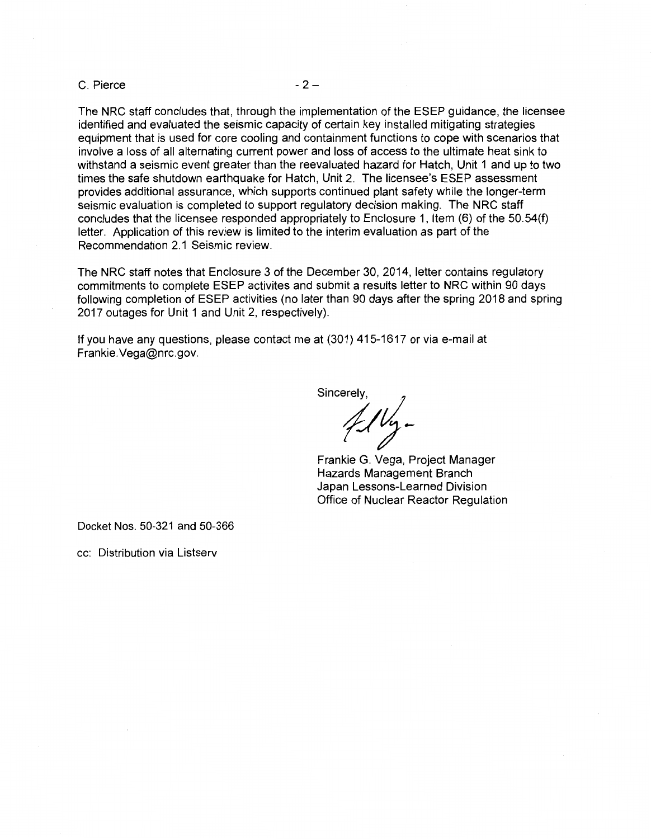$C.$  Pierce  $-2-$ 

The NRC staff concludes that, through the implementation of the ESEP guidance, the licensee identified and evaluated the seismic capacity of certain key installed mitigating strategies equipment that is used for core cooling and containment functions to cope with scenarios that involve a loss of all alternating current power and loss of access to the ultimate heat sink to withstand a seismic event greater than the reevaluated hazard for Hatch, Unit 1 and up to two times the safe shutdown earthquake for Hatch, Unit 2. The licensee's ESEP assessment provides additional assurance, which supports continued plant safety while the longer-term seismic evaluation is completed to support regulatory decision making. The NRC staff concludes that the licensee responded appropriately to Enclosure 1, Item (6) of the 50.54(f) letter. Application of this review is limited to the interim evaluation as part of the Recommendation 2.1 Seismic review.

The NRC staff notes that Enclosure 3 of the December 30, 2014, letter contains regulatory commitments to complete ESEP activites and submit a results letter to NRC within 90 days following completion of ESEP activities (no later than 90 days after the spring 2018 and spring 2017 outages for Unit 1 and Unit 2, respectively).

If you have any questions, please contact me at (301) 415-1617 or via e-mail at Frankie.Vega@nrc.gov.

Sincerely,

Frankie G. Vega, Project Manager Hazards Management Branch Japan Lessons-Learned Division Office of Nuclear Reactor Regulation

Docket Nos. 50-321 and 50-366

cc: Distribution via Listserv